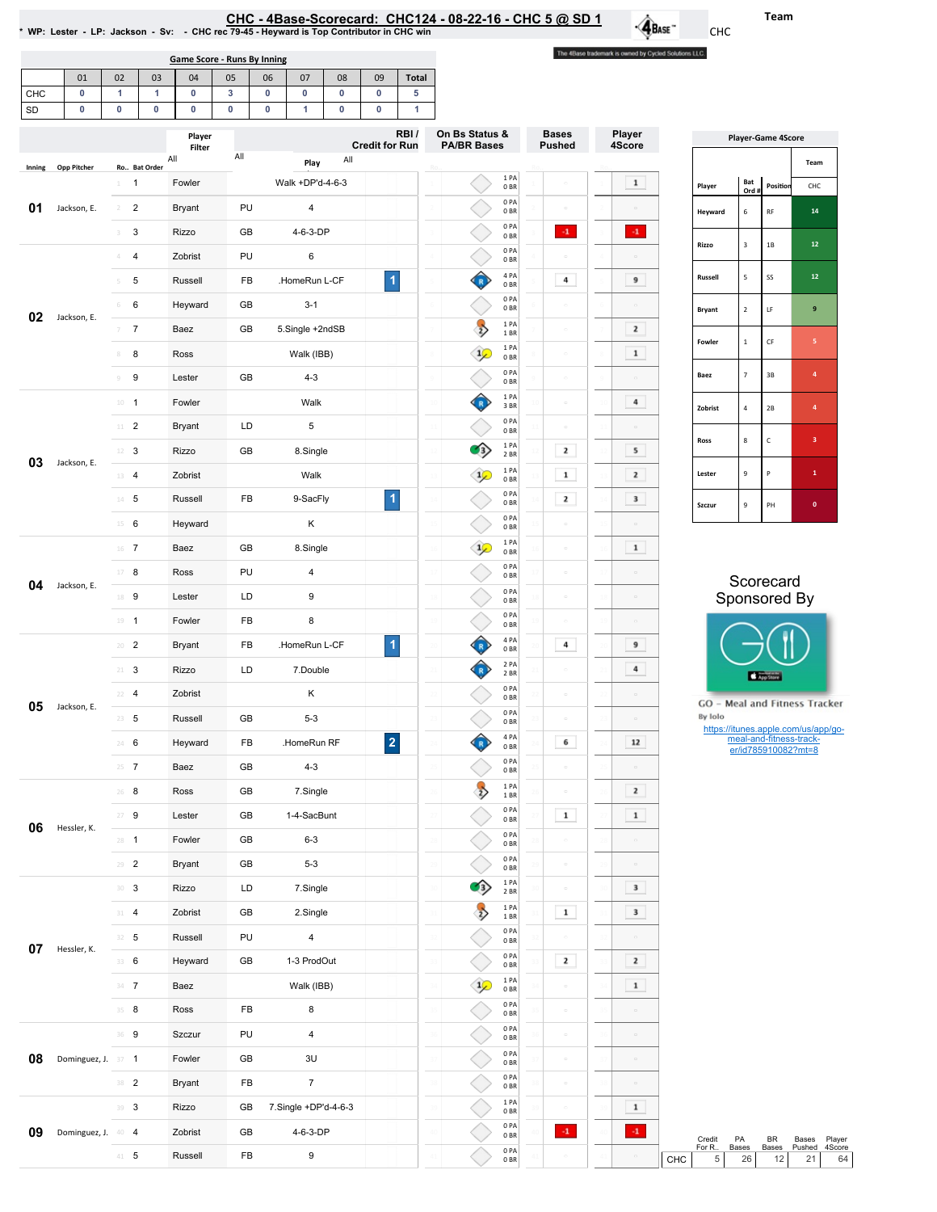<u>CHC - 4Base-Scorecard: CHC124 - 08-22-16 - CHC 5 @ SD 1</u><br>WP: Lester - LP: Jackson - Sv: - CHC rec 79-45 - Heyward is Top Contributor in CHC win \*

Game Score - Runs By Inning

The 4Base trademark is owned by Cycled Solutions LLC.

 $\mathbf{\hat{A}}$ Base

|           | 01                     | 02                                                       | 03             | 04                      | 05                          | 06                                                            | 07                   | 08     | 09                     | <b>Total</b>               |                        |                         |               |                         |                            |                           |                           |                                     |
|-----------|------------------------|----------------------------------------------------------|----------------|-------------------------|-----------------------------|---------------------------------------------------------------|----------------------|--------|------------------------|----------------------------|------------------------|-------------------------|---------------|-------------------------|----------------------------|---------------------------|---------------------------|-------------------------------------|
| CHC<br>SD | $\pmb{0}$<br>$\pmb{0}$ | $\mathbf{1}$<br>0                                        | 1<br>$\pmb{0}$ | 0<br>$\pmb{0}$          | $\mathbf{3}$<br>$\mathbf 0$ | $\mathbf 0$<br>$\bf{0}$                                       | 0<br>1               | 0<br>0 | $\pmb{0}$<br>$\pmb{0}$ | 5<br>1                     |                        |                         |               |                         |                            |                           |                           |                                     |
|           |                        |                                                          |                |                         |                             |                                                               |                      |        |                        | RBI/                       | On Bs Status &         |                         | <b>Bases</b>  | Player                  |                            |                           |                           |                                     |
|           |                        |                                                          |                | Player<br>Filter<br>All | All                         |                                                               |                      | All    | <b>Credit for Run</b>  |                            | <b>PA/BR Bases</b>     |                         | <b>Pushed</b> | 4Score                  |                            |                           | <b>Player-Game 4Score</b> |                                     |
| Inning    | <b>Opp Pitcher</b>     |                                                          | Ro Bat Order   |                         |                             |                                                               | Play                 |        |                        |                            |                        | 1 PA                    |               |                         |                            | Bat                       |                           | Team                                |
|           |                        | $\overline{1}$<br>$1 -$                                  |                | Fowler                  |                             |                                                               | Walk +DP'd-4-6-3     |        |                        |                            |                        | 0BR<br>0PA              |               | $\mathbf{1}$            | Player                     | Ord #                     | Position                  | CHC                                 |
| 01        | Jackson, E.            | $\overline{2}$<br>$2 -$                                  |                | <b>Bryant</b>           | PU                          |                                                               | 4                    |        |                        |                            |                        | 0 <sub>BR</sub><br>0PA  |               |                         | Heyward                    | $\,$ 6 $\,$               | RF                        | $14\,$                              |
|           |                        | $\mathbf{3}$<br>$3 -$                                    |                | Rizzo                   | GB                          |                                                               | 4-6-3-DP             |        |                        |                            |                        | 0 <sub>BR</sub><br>0 PA | $\cdot 1$     | $-1$                    | Rizzo                      | $\ensuremath{\mathsf{3}}$ | $1\mathsf{B}$             | 12 <sub>2</sub>                     |
|           |                        | $\overline{4}$<br>$\mathcal{A}^-$                        |                | Zobrist                 | PU                          |                                                               | 6                    |        |                        |                            |                        | 0 <sub>BR</sub>         |               |                         |                            |                           |                           |                                     |
|           |                        | 5<br>5                                                   |                | Russell                 |                             | FB<br>.HomeRun L-CF<br>GB<br>$3 - 1$<br>GB<br>5.Single +2ndSB |                      | 1      |                        | $\left( \mathbb{R}\right)$ | 4 PA<br>0BR            | 4                       | 9             | Russell                 | $\sqrt{5}$                 | SS                        | 12 <sub>2</sub>           |                                     |
| 02        | Jackson, E.            | 6<br>6                                                   |                | Heyward                 |                             |                                                               |                      |        |                        |                            | 0PA<br>0 <sub>BR</sub> |                         |               | Bryant                  | $\mathbf 2$                | LF                        | $\boldsymbol{9}$          |                                     |
|           |                        | $\overline{7}$<br>$\overline{\mathcal{I}}$               |                | Baez                    |                             |                                                               |                      |        |                        |                            | $\rightarrow$          | 1PA<br>1 BR             |               | $\mathbf{z}$            | Fowler                     | $\,$ 1                    | $\mathsf{CF}$             | 5                                   |
|           |                        | 8<br>8                                                   |                | Ross                    |                             |                                                               | Walk (IBB)           |        |                        |                            | $\mathcal{L}$          | 1PA<br>0BR              |               | $\mathbf 1$             |                            |                           |                           |                                     |
|           |                        | 9<br>9                                                   |                | Lester                  | GB                          |                                                               | $4 - 3$              |        |                        |                            |                        | 0PA<br>0 <sub>BR</sub>  |               |                         | Baez                       | $\scriptstyle\rm 7$       | 3B                        | $\boldsymbol{4}$                    |
|           |                        | $10 - 1$                                                 |                | Fowler                  |                             |                                                               | Walk                 |        |                        |                            | (R)                    | 1 PA<br>3 BR            |               | 4                       | Zobrist                    | $\overline{4}$            | 2B                        | $\overline{4}$                      |
|           |                        | $11$ 2                                                   |                | <b>Bryant</b>           | LD                          |                                                               | 5                    |        |                        |                            |                        | 0PA<br>0BR              |               |                         |                            |                           |                           |                                     |
| 03        |                        | $12 \t3$                                                 |                | Rizzo                   | GB                          |                                                               | 8.Single             |        |                        |                            | $\circledcirc$         | 1 PA<br>2 BR            | $\mathbf{z}$  | 5                       | $\mathsf{Ross}$            | $\bf8$                    | $\mathsf{C}$              | $\mathbf{3}$                        |
|           | Jackson, E.            | 13 4                                                     |                | Zobrist                 |                             |                                                               | Walk                 |        |                        |                            | $\rightarrow$          | 1 PA<br>0 <sub>BR</sub> | $\mathbf{1}$  | $\mathbf{z}$            | Lester                     | $\mathsf g$               | P                         | $\mathbf{1}$                        |
|           |                        | $14 - 5$                                                 |                | Russell                 | FB                          |                                                               | 9-SacFly             |        | 1                      |                            |                        | 0PA<br>0BR              | $\mathbf{z}$  | 3                       | Szczur                     | $\mathsf g$               | PH                        | $\mathbf 0$                         |
|           |                        | $15 \t 6$                                                |                | Heyward                 |                             |                                                               | Κ                    |        |                        |                            |                        | 0PA<br>0BR              |               |                         |                            |                           |                           |                                     |
|           |                        | $16$ 7                                                   |                | Baez                    | GB                          |                                                               | 8.Single             |        |                        |                            | $\rightarrow$          | 1 PA<br>0 <sub>BR</sub> |               | $\mathbf 1$             |                            |                           |                           |                                     |
|           |                        | 17 8                                                     |                | Ross                    | PU                          |                                                               | 4                    |        |                        |                            |                        | 0PA<br>0BR              |               |                         |                            | Scorecard                 |                           |                                     |
| 04        | Jackson, E.            | 18 9                                                     |                | Lester                  | LD                          |                                                               | 9                    |        |                        |                            |                        | 0PA<br>0 <sub>BR</sub>  |               |                         |                            |                           | Sponsored By              |                                     |
|           |                        | $19 - 1$                                                 |                | Fowler                  | FB                          |                                                               | 8                    |        |                        |                            |                        | 0PA<br>0 <sub>BR</sub>  |               |                         |                            |                           |                           |                                     |
|           |                        | $20 - 2$                                                 |                | <b>Bryant</b>           | FB                          |                                                               | .HomeRun L-CF        |        | 1                      |                            | ✿                      | 4 PA<br>0 <sub>BR</sub> | 4             | 9                       |                            |                           |                           |                                     |
|           |                        | $21 - 3$                                                 |                | Rizzo                   | LD                          |                                                               | 7.Double             |        |                        |                            | $\bf G$                | 2 PA<br>2 BR            |               | 4                       |                            |                           |                           |                                     |
|           |                        | $22 - 4$                                                 | Zobrist        |                         |                             |                                                               | Κ                    |        |                        |                            |                        | 0PA                     |               |                         |                            |                           | App Store                 |                                     |
| 05        | Jackson, E.            | $23 - 5$                                                 |                | Russell                 | GB                          |                                                               | $5 - 3$              |        |                        |                            |                        | 0 <sub>BR</sub><br>0PA  |               |                         | By Iolo                    |                           |                           | GO - Meal and Fitness Tracker       |
|           |                        | 24 6                                                     |                | Heyward                 | FB                          |                                                               | HomeRun RF           |        | $\mathbf 2$            |                            | $\overline{R}$         | 0 <sub>BR</sub><br>4 PA | 6             | 12                      |                            |                           | meal-and-fitness-track-   | https://itunes.apple.com/us/app/go- |
|           |                        | $25 \t 7$                                                |                | Baez                    | GB                          |                                                               | $4 - 3$              |        |                        |                            |                        | 0BR<br>0 PA             |               |                         |                            |                           | er/id785910082?mt=8       |                                     |
|           |                        |                                                          |                | Ross                    |                             |                                                               | 7.Single             |        |                        |                            | $\rightarrow$          | 0BR<br>1 PA             |               | $\mathbf{z}$            |                            |                           |                           |                                     |
|           |                        | $26$ 8                                                   |                |                         | GB                          |                                                               |                      |        |                        |                            |                        | 1 BR<br>0PA             | $\mathbf{1}$  |                         |                            |                           |                           |                                     |
| 06        | Hessler, K.            | $27 - 9$                                                 |                | Lester                  | GB                          |                                                               | 1-4-SacBunt          |        |                        |                            |                        | 0 <sub>BR</sub><br>0PA  |               | $\mathbf{1}$            |                            |                           |                           |                                     |
|           |                        | $28 - 1$                                                 |                | Fowler                  | GB                          |                                                               | $6 - 3$              |        |                        |                            |                        | 0BR<br>0PA              |               |                         |                            |                           |                           |                                     |
|           |                        | $29 - 2$                                                 |                | Bryant                  | GB                          |                                                               | $5 - 3$              |        |                        |                            |                        | 0 <sub>BR</sub><br>1PA  |               |                         |                            |                           |                           |                                     |
|           |                        | $\scriptstyle{\mathrm{30}}$ – $\scriptstyle{\mathrm{3}}$ |                | Rizzo                   | LD                          |                                                               | 7.Single             |        |                        |                            | ශ                      | 2 BR<br>1 PA            |               | $\overline{\mathbf{3}}$ |                            |                           |                           |                                     |
|           |                        | $31 - 4$                                                 |                | Zobrist                 | GB                          |                                                               | 2.Single             |        |                        |                            | $\rightarrow$          | 1B<br>0PA               | $\mathbf 1$   | $\overline{\mathbf{3}}$ |                            |                           |                           |                                     |
| 07        | Hessler, K.            | $32 - 5$                                                 |                | Russell                 | PU                          |                                                               | 4                    |        |                        |                            |                        | 0BR<br>0PA              |               |                         |                            |                           |                           |                                     |
|           |                        | 33 6                                                     |                | Heyward                 | GB                          |                                                               | 1-3 ProdOut          |        |                        |                            |                        | 0 <sub>BR</sub>         | $\mathbf{z}$  | $\mathbf{z}$            |                            |                           |                           |                                     |
|           |                        | $34 - 7$                                                 |                | Baez                    |                             |                                                               | Walk (IBB)           |        |                        |                            | $\mathcal{P}$          | 1PA<br>0BR              |               | $\mathbf{1}$            |                            |                           |                           |                                     |
|           |                        | $35 - 8$                                                 |                | Ross                    | FB                          |                                                               | 8                    |        |                        |                            |                        | 0PA<br>0BR              |               |                         |                            |                           |                           |                                     |
|           |                        | 36 9                                                     |                | Szczur                  | PU                          |                                                               | 4                    |        |                        |                            |                        | 0PA<br>0 <sub>BR</sub>  |               |                         |                            |                           |                           |                                     |
| 08        | Dominguez, J. 37 1     |                                                          |                | Fowler                  | GB                          |                                                               | 3U                   |        |                        |                            |                        | 0PA<br>0BR              | $\Box$        |                         |                            |                           |                           |                                     |
|           |                        | 38 <sup>2</sup>                                          |                | Bryant                  | FB                          |                                                               | $\overline{7}$       |        |                        |                            |                        | 0PA<br>0 <sub>BR</sub>  |               |                         |                            |                           |                           |                                     |
|           |                        | $39$ 3                                                   |                | Rizzo                   | GB                          |                                                               | 7.Single +DP'd-4-6-3 |        |                        |                            |                        | 1 PA<br>0 <sub>BR</sub> |               | $\mathbf{1}$            |                            |                           |                           |                                     |
| 09        | Dominguez, J. 40 4     |                                                          |                | Zobrist                 | GB                          |                                                               | 4-6-3-DP             |        |                        |                            |                        | 0PA<br>0BR              | $\cdot 1$     | $\cdot 1$               | Credit                     | PA                        | BR                        | Bases<br>Player                     |
|           |                        | $41 - 5$                                                 |                | Russell                 | FB                          |                                                               | 9                    |        |                        |                            |                        | 0PA<br>0B               |               |                         | For R<br>$\sqrt{5}$<br>CHC | Bases<br>26               | Bases<br>12               | Pushed<br>4Score<br>21              |

| <b>Player-Game 4Score</b> |                         |           |              |  |  |  |  |  |  |  |
|---------------------------|-------------------------|-----------|--------------|--|--|--|--|--|--|--|
|                           |                         |           | Team         |  |  |  |  |  |  |  |
| Player                    | Bat<br>Ord#             | Position  | CHC          |  |  |  |  |  |  |  |
| Heyward                   | 6                       | <b>RF</b> | 14           |  |  |  |  |  |  |  |
| Rizzo                     | $\overline{\mathbf{3}}$ | 1B        | 12           |  |  |  |  |  |  |  |
| <b>Russell</b>            | 5                       | SS        | 12           |  |  |  |  |  |  |  |
| <b>Bryant</b>             | $\overline{2}$          | LF        | 9            |  |  |  |  |  |  |  |
| Fowler                    | $\overline{1}$          | CF        | 5            |  |  |  |  |  |  |  |
| Baez                      | $\overline{7}$          | 3B        | 4            |  |  |  |  |  |  |  |
| Zobrist                   | $\overline{4}$          | 2B        | 4            |  |  |  |  |  |  |  |
| Ross                      | 8                       | C         | 3            |  |  |  |  |  |  |  |
| Lester                    | 9                       | P         | $\mathbf{1}$ |  |  |  |  |  |  |  |
| Szczur                    | 9                       | PH        | $\mathbf{0}$ |  |  |  |  |  |  |  |

## Scorecard Sponsored By



Team

CHC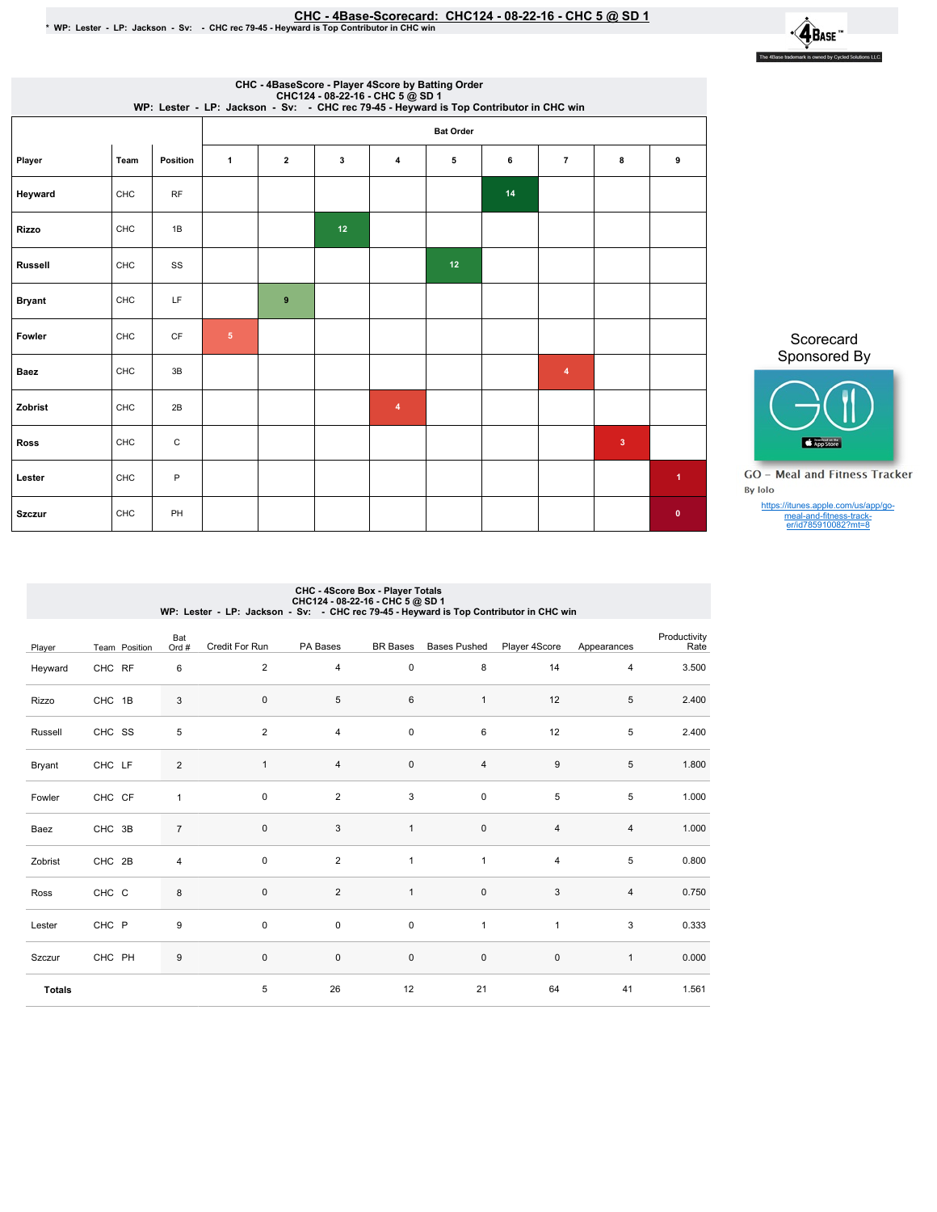## ©HC - 4Base-Scorecard: CHC124 - 08-22-16 - CHC 5 @ SD 1. ♦ WP: Lester - LP: Jackson - Sv: - CHC rec 79-45 - Heyward is Top Contributor in CHC win



|                | CHC - 4BaseScore - Player 4Score by Batting Order<br>CHC124 - 08-22-16 - CHC 5 @ SD 1<br>WP: Lester - LP: Jackson - Sv: - CHC rec 79-45 - Heyward is Top Contributor in CHC win |          |                  |                                                              |    |                |    |    |                         |             |             |  |
|----------------|---------------------------------------------------------------------------------------------------------------------------------------------------------------------------------|----------|------------------|--------------------------------------------------------------|----|----------------|----|----|-------------------------|-------------|-------------|--|
|                |                                                                                                                                                                                 |          | <b>Bat Order</b> |                                                              |    |                |    |    |                         |             |             |  |
| Player         | Team                                                                                                                                                                            | Position | $\mathbf{1}$     | $\mathbf{2}$<br>4<br>5<br>6<br>$\overline{7}$<br>8<br>3<br>9 |    |                |    |    |                         |             |             |  |
| Heyward        | CHC                                                                                                                                                                             | RF       |                  |                                                              |    |                |    | 14 |                         |             |             |  |
| <b>Rizzo</b>   | CHC                                                                                                                                                                             | 1B       |                  |                                                              | 12 |                |    |    |                         |             |             |  |
| <b>Russell</b> | CHC                                                                                                                                                                             | SS       |                  |                                                              |    |                | 12 |    |                         |             |             |  |
| <b>Bryant</b>  | CHC                                                                                                                                                                             | LF       |                  | 9                                                            |    |                |    |    |                         |             |             |  |
| Fowler         | CHC                                                                                                                                                                             | CF       | $\sqrt{5}$       |                                                              |    |                |    |    |                         |             |             |  |
| <b>Baez</b>    | CHC                                                                                                                                                                             | 3B       |                  |                                                              |    |                |    |    | $\overline{\mathbf{4}}$ |             |             |  |
| Zobrist        | CHC                                                                                                                                                                             | 2B       |                  |                                                              |    | $\overline{4}$ |    |    |                         |             |             |  |
| <b>Ross</b>    | CHC                                                                                                                                                                             | C        |                  |                                                              |    |                |    |    |                         | $\mathbf 3$ |             |  |
| Lester         | CHC                                                                                                                                                                             | $\sf P$  |                  |                                                              |    |                |    |    |                         |             | 1           |  |
| <b>Szczur</b>  | CHC                                                                                                                                                                             | PH       |                  |                                                              |    |                |    |    |                         |             | $\mathbf 0$ |  |

Scorecard Sponsored By



**GO** - Meal and Fitness Tracker By Iolo

https://itunes.apple.com/us/app/go-meal-and-fitness-track-er/id785910082?mt=8

# CHC - 4Score Box - Player Totals<br>CHC124 - 08-22-16 - CHC 10 DCHC4<br>WP: Lester - LP: Jackson - Sv: - CHC rec 79-45 - Heyward is Top Contributor in CHC win

| Player        | Team Position | Bat<br>Ord #     | Credit For Run | PA Bases                  | <b>BR Bases</b> | <b>Bases Pushed</b>     | Player 4Score  | Appearances    | Productivity<br>Rate |
|---------------|---------------|------------------|----------------|---------------------------|-----------------|-------------------------|----------------|----------------|----------------------|
| Heyward       | CHC RF        | 6                | $\overline{2}$ | $\overline{4}$            | $\mathsf 0$     | 8                       | 14             | $\overline{4}$ | 3.500                |
| Rizzo         | CHC 1B        | $\sqrt{3}$       | $\mathsf 0$    | 5                         | 6               | $\mathbf{1}$            | 12             | $\,$ 5 $\,$    | 2.400                |
| Russell       | CHC SS        | $\sqrt{5}$       | $\overline{a}$ | $\overline{4}$            | 0               | 6                       | 12             | $\,$ 5 $\,$    | 2.400                |
| Bryant        | CHC LF        | $\overline{c}$   | $\mathbf{1}$   | $\overline{4}$            | $\pmb{0}$       | $\overline{\mathbf{4}}$ | 9              | $\,$ 5 $\,$    | 1.800                |
| Fowler        | CHC CF        | $\mathbf{1}$     | $\mathbf 0$    | $\overline{2}$            | 3               | 0                       | 5              | 5              | 1.000                |
| Baez          | CHC 3B        | $\overline{7}$   | $\mathsf 0$    | $\ensuremath{\mathsf{3}}$ | $\mathbf{1}$    | $\mathsf{O}\xspace$     | $\overline{4}$ | $\overline{4}$ | 1.000                |
| Zobrist       | CHC 2B        | $\overline{4}$   | $\mathsf 0$    | $\overline{2}$            | $\mathbf{1}$    | $\mathbf{1}$            | 4              | 5              | 0.800                |
| Ross          | CHC C         | 8                | $\mathsf 0$    | 2                         | $\mathbf{1}$    | $\pmb{0}$               | $\mathbf{3}$   | $\sqrt{4}$     | 0.750                |
| Lester        | CHC P         | 9                | $\mathbf 0$    | $\pmb{0}$                 | 0               | $\mathbf{1}$            | $\mathbf{1}$   | 3              | 0.333                |
| Szczur        | CHC PH        | $\boldsymbol{9}$ | $\mathbf 0$    | $\pmb{0}$                 | $\mathsf 0$     | $\pmb{0}$               | $\mathsf 0$    | $\mathbf{1}$   | 0.000                |
| <b>Totals</b> |               |                  | 5              | 26                        | 12              | 21                      | 64             | 41             | 1.561                |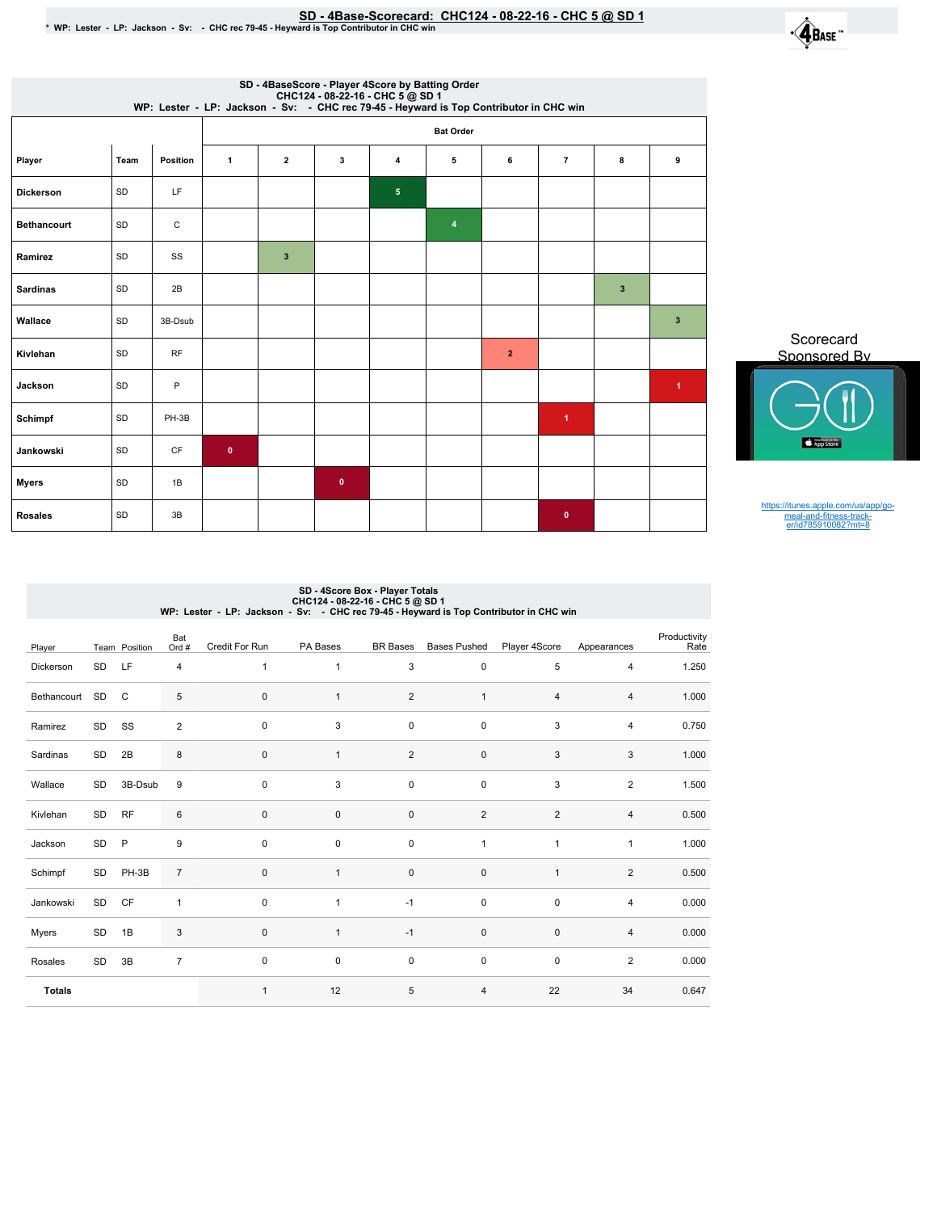

|                    | SD - 4BaseScore - Player 4Score by Batting Order<br>CHC124 - 08-22-16 - CHC 5 @ SD 1<br>WP: Lester - LP: Jackson - Sv: - CHC rec 79-45 - Heyward is Top Contributor in CHC win |              |                  |                         |           |                         |   |                |                      |              |                      |  |  |
|--------------------|--------------------------------------------------------------------------------------------------------------------------------------------------------------------------------|--------------|------------------|-------------------------|-----------|-------------------------|---|----------------|----------------------|--------------|----------------------|--|--|
|                    |                                                                                                                                                                                |              | <b>Bat Order</b> |                         |           |                         |   |                |                      |              |                      |  |  |
| Player             | Team                                                                                                                                                                           | Position     | $\mathbf{1}$     | $\mathbf{2}$            | 3         | 4                       | 5 | 6              | $\overline{7}$       | 8            | 9                    |  |  |
| <b>Dickerson</b>   | SD                                                                                                                                                                             | LF           |                  |                         |           | $\overline{\mathbf{5}}$ |   |                |                      |              |                      |  |  |
| <b>Bethancourt</b> | SD                                                                                                                                                                             | $\mathsf{C}$ |                  |                         |           |                         | 4 |                |                      |              |                      |  |  |
| Ramirez            | SD                                                                                                                                                                             | SS           |                  | $\overline{\mathbf{3}}$ |           |                         |   |                |                      |              |                      |  |  |
| <b>Sardinas</b>    | SD                                                                                                                                                                             | 2B           |                  |                         |           |                         |   |                |                      | $\mathbf{3}$ |                      |  |  |
| Wallace            | <b>SD</b>                                                                                                                                                                      | 3B-Dsub      |                  |                         |           |                         |   |                |                      |              | $\mathbf{3}$         |  |  |
| Kivlehan           | SD                                                                                                                                                                             | <b>RF</b>    |                  |                         |           |                         |   | $\overline{2}$ |                      |              |                      |  |  |
| Jackson            | SD                                                                                                                                                                             | P            |                  |                         |           |                         |   |                |                      |              | $\blacktriangleleft$ |  |  |
| Schimpf            | SD                                                                                                                                                                             | PH-3B        |                  |                         |           |                         |   |                | $\blacktriangleleft$ |              |                      |  |  |
| Jankowski          | SD                                                                                                                                                                             | CF           | $\bullet$        |                         |           |                         |   |                |                      |              |                      |  |  |
| <b>Myers</b>       | SD                                                                                                                                                                             | 1B           |                  |                         | $\pmb{0}$ |                         |   |                |                      |              |                      |  |  |
| <b>Rosales</b>     | SD                                                                                                                                                                             | 3B           |                  |                         |           |                         |   |                | $\bullet$            |              |                      |  |  |

Scorecard Sponsored By

https://itunes.apple.com/us/app/go-meal-and-fitness-track-er/id785910082?mt=8

## SD - 4Score Box - Player Totals<br>CHC124 - 08-22-16 - 28-22-16<br>WP: Lester - LP: Jackson - Sv: - CHC rec 79-45 - Heyward is Top Contributor in CHC win

| Player        |    | Team Position | Bat<br>Ord #   | Credit For Run | PA Bases     | <b>BR</b> Bases | <b>Bases Pushed</b> | Player 4Score  | Appearances    | Productivity<br>Rate |
|---------------|----|---------------|----------------|----------------|--------------|-----------------|---------------------|----------------|----------------|----------------------|
| Dickerson     | SD | LF            | 4              | $\mathbf{1}$   | $\mathbf{1}$ | 3               | 0                   | 5              | $\overline{4}$ | 1.250                |
| Bethancourt   | SD | $\mathsf{C}$  | 5              | $\pmb{0}$      | 1            | $\overline{2}$  | $\mathbf{1}$        | 4              | 4              | 1.000                |
| Ramirez       | SD | SS            | $\overline{2}$ | $\pmb{0}$      | 3            | $\pmb{0}$       | $\pmb{0}$           | 3              | 4              | 0.750                |
| Sardinas      | SD | 2B            | $\bf 8$        | $\mathbf 0$    | $\mathbf{1}$ | $\overline{2}$  | $\pmb{0}$           | 3              | 3              | 1.000                |
| Wallace       | SD | 3B-Dsub       | 9              | $\mathbf 0$    | 3            | $\mathbf 0$     | $\pmb{0}$           | 3              | $\overline{2}$ | 1.500                |
| Kivlehan      | SD | <b>RF</b>     | $\,6$          | $\pmb{0}$      | $\mathbf 0$  | $\pmb{0}$       | $\overline{2}$      | $\overline{2}$ | $\overline{4}$ | 0.500                |
| Jackson       | SD | $\mathsf{P}$  | 9              | $\pmb{0}$      | $\pmb{0}$    | $\pmb{0}$       | $\mathbf{1}$        | $\mathbf{1}$   | $\mathbf{1}$   | 1.000                |
| Schimpf       | SD | PH-3B         | $\overline{7}$ | $\pmb{0}$      | $\mathbf{1}$ | $\pmb{0}$       | $\pmb{0}$           | $\mathbf{1}$   | $\overline{2}$ | 0.500                |
| Jankowski     | SD | CF            | 1              | $\pmb{0}$      | $\mathbf{1}$ | $-1$            | $\pmb{0}$           | $\pmb{0}$      | $\overline{4}$ | 0.000                |
| Myers         | SD | 1B            | 3              | $\pmb{0}$      | $\mathbf{1}$ | $-1$            | $\pmb{0}$           | $\pmb{0}$      | 4              | 0.000                |
| Rosales       | SD | 3B            | $\overline{7}$ | $\pmb{0}$      | $\pmb{0}$    | $\pmb{0}$       | $\pmb{0}$           | $\pmb{0}$      | $\overline{2}$ | 0.000                |
| <b>Totals</b> |    |               |                | $\mathbf{1}$   | 12           | 5               | 4                   | 22             | 34             | 0.647                |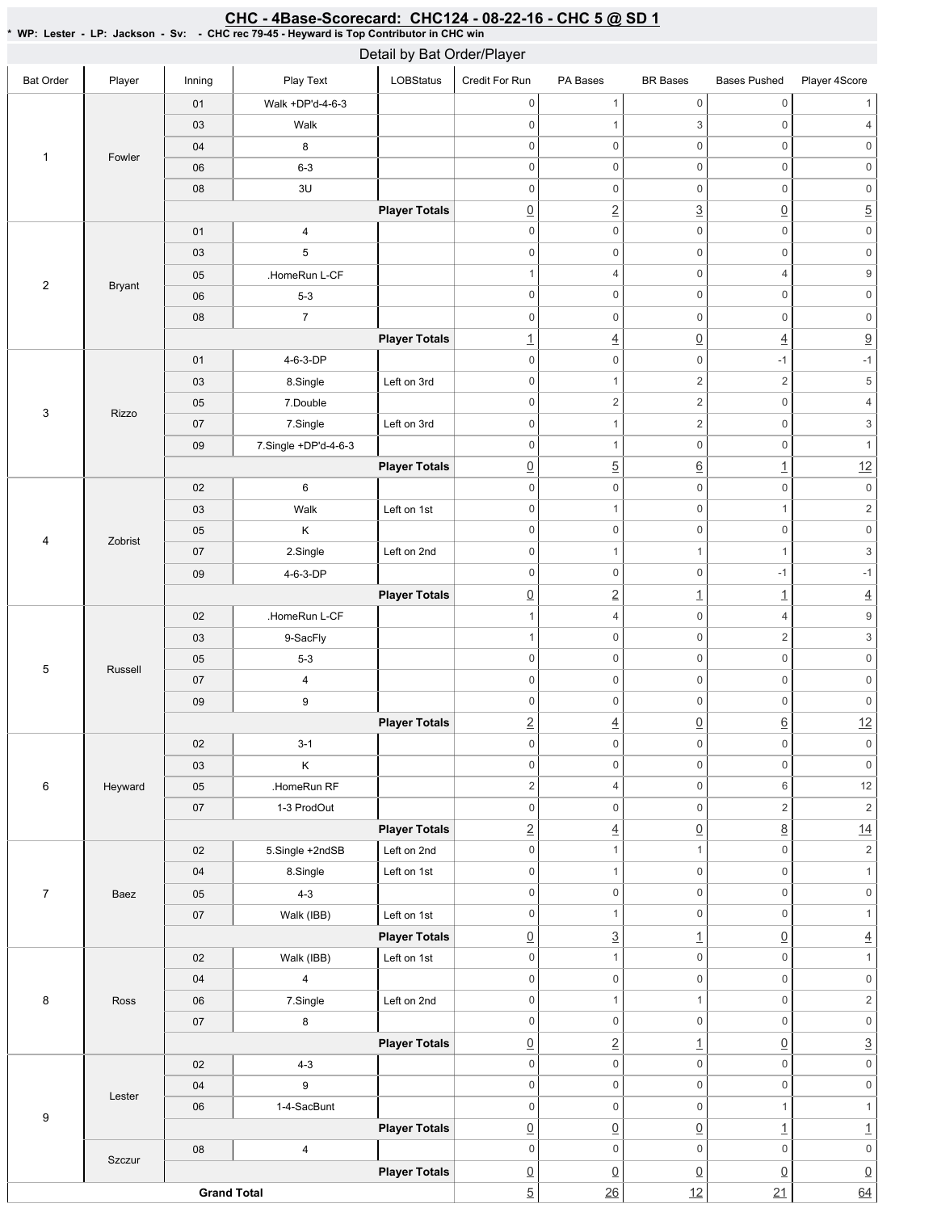| <b>Bat Order</b><br>Player<br>Play Text<br>LOBStatus<br>Inning<br>Credit For Run<br>PA Bases<br><b>BR</b> Bases<br><b>Bases Pushed</b><br>$\mathsf{O}\xspace$<br>$\mathsf 0$<br>$\mathbf{1}$<br>$\mathbf 0$<br>Walk +DP'd-4-6-3<br>01<br>3<br>03<br>Walk<br>$\mathbf 0$<br>$\mathbf{1}$<br>$\boldsymbol{0}$<br>$\mathsf 0$<br>$\mathbf 0$<br>$\boldsymbol{0}$<br>$\boldsymbol{0}$<br>8<br>04<br>1<br>Fowler<br>$\mathbf 0$<br>$\mathsf{O}\xspace$<br>$\mathsf 0$<br>$\mathbb O$<br>$6 - 3$<br>06<br>$\mathsf 0$<br>$\mathsf{O}\xspace$<br>3U<br>$\mathsf{O}\xspace$<br>08<br>$\mathbf 0$<br>$\overline{2}$<br>$\underline{3}$<br>$\underline{0}$<br><b>Player Totals</b><br>$\underline{0}$ | Player 4Score<br>$\overline{4}$<br>$\mathbf 0$<br>$\mathbf 0$<br>$\mathsf 0$<br>$\overline{5}$<br>$\mathsf{O}\xspace$ |
|---------------------------------------------------------------------------------------------------------------------------------------------------------------------------------------------------------------------------------------------------------------------------------------------------------------------------------------------------------------------------------------------------------------------------------------------------------------------------------------------------------------------------------------------------------------------------------------------------------------------------------------------------------------------------------------------|-----------------------------------------------------------------------------------------------------------------------|
|                                                                                                                                                                                                                                                                                                                                                                                                                                                                                                                                                                                                                                                                                             |                                                                                                                       |
|                                                                                                                                                                                                                                                                                                                                                                                                                                                                                                                                                                                                                                                                                             |                                                                                                                       |
|                                                                                                                                                                                                                                                                                                                                                                                                                                                                                                                                                                                                                                                                                             |                                                                                                                       |
|                                                                                                                                                                                                                                                                                                                                                                                                                                                                                                                                                                                                                                                                                             |                                                                                                                       |
|                                                                                                                                                                                                                                                                                                                                                                                                                                                                                                                                                                                                                                                                                             |                                                                                                                       |
|                                                                                                                                                                                                                                                                                                                                                                                                                                                                                                                                                                                                                                                                                             |                                                                                                                       |
|                                                                                                                                                                                                                                                                                                                                                                                                                                                                                                                                                                                                                                                                                             |                                                                                                                       |
| $\mathsf 0$<br>$\mathsf 0$<br>$\mathbf 0$<br>$\mathbf 0$<br>$01$<br>4                                                                                                                                                                                                                                                                                                                                                                                                                                                                                                                                                                                                                       |                                                                                                                       |
| $\,$ 5 $\,$<br>$\mathsf{O}\xspace$<br>$\mathsf 0$<br>$\mathbf 0$<br>03<br>$\mathbf 0$                                                                                                                                                                                                                                                                                                                                                                                                                                                                                                                                                                                                       | $\mathsf{O}\xspace$                                                                                                   |
| $\mathsf 0$<br>.HomeRun L-CF<br>$\mathbf{1}$<br>4<br>$\overline{4}$<br>05                                                                                                                                                                                                                                                                                                                                                                                                                                                                                                                                                                                                                   | $\boldsymbol{9}$                                                                                                      |
| $\sqrt{2}$<br><b>Bryant</b><br>$\mathbf 0$<br>$\mathsf 0$<br>$\mathbb O$<br>$\mathbf 0$<br>$5 - 3$<br>06                                                                                                                                                                                                                                                                                                                                                                                                                                                                                                                                                                                    | $\mathbf 0$                                                                                                           |
| $\overline{7}$<br>$\mathbf 0$<br>$\mathsf{O}\xspace$<br>0<br>$\mathbf 0$<br>08                                                                                                                                                                                                                                                                                                                                                                                                                                                                                                                                                                                                              | $\mathsf{O}\xspace$                                                                                                   |
| $\underline{0}$<br>$\underline{4}$<br><b>Player Totals</b><br>$\overline{1}$<br>$\overline{4}$                                                                                                                                                                                                                                                                                                                                                                                                                                                                                                                                                                                              | $\overline{\partial}$                                                                                                 |
| 01<br>4-6-3-DP<br>$\mathbf 0$<br>$\mathsf{O}\xspace$<br>$\mathsf 0$<br>$-1$                                                                                                                                                                                                                                                                                                                                                                                                                                                                                                                                                                                                                 | $-1$                                                                                                                  |
| $\sqrt{2}$<br>$\overline{c}$<br>$\mathbf 0$<br>Left on 3rd<br>$\mathbf{1}$<br>03<br>8.Single                                                                                                                                                                                                                                                                                                                                                                                                                                                                                                                                                                                                | $\,$ 5 $\,$                                                                                                           |
| $\overline{c}$<br>$\sqrt{2}$<br>$\mathbb O$<br>$\mathbf 0$<br>7.Double<br>05                                                                                                                                                                                                                                                                                                                                                                                                                                                                                                                                                                                                                | $\sqrt{4}$                                                                                                            |
| 3<br>Rizzo<br>7.Single<br>Left on 3rd<br>$\mathbf 0$<br>$\overline{c}$<br>$\mathbf 0$<br>07<br>$\mathbf{1}$                                                                                                                                                                                                                                                                                                                                                                                                                                                                                                                                                                                 | $\mathsf 3$                                                                                                           |
| $\mathsf 0$<br>$\mathbf 0$<br>$\mathbf{1}$<br>$\mathbf 0$<br>7.Single +DP'd-4-6-3<br>09                                                                                                                                                                                                                                                                                                                                                                                                                                                                                                                                                                                                     | $\mathbf{1}$                                                                                                          |
| $\overline{5}$<br>$\underline{0}$<br>$\underline{6}$<br>$\underline{\mathbf{1}}$<br><b>Player Totals</b>                                                                                                                                                                                                                                                                                                                                                                                                                                                                                                                                                                                    | 12                                                                                                                    |
| 6<br>$\mathsf 0$<br>$\mathbb O$<br>02<br>$\mathbf 0$<br>$\mathbf 0$                                                                                                                                                                                                                                                                                                                                                                                                                                                                                                                                                                                                                         | $\mathsf{O}\xspace$                                                                                                   |
| $\mathbf 0$<br>$\mathsf 0$<br>Walk<br>Left on 1st<br>$\mathbf{1}$<br>$\mathbf{1}$<br>03                                                                                                                                                                                                                                                                                                                                                                                                                                                                                                                                                                                                     | $\sqrt{2}$                                                                                                            |
| $\mathbf 0$<br>$\mathsf{O}\xspace$<br>$\mathsf 0$<br>$\mathbf 0$<br>Κ<br>05                                                                                                                                                                                                                                                                                                                                                                                                                                                                                                                                                                                                                 | $\mathsf 0$                                                                                                           |
| 4<br>Zobrist<br>Left on 2nd<br>$\mathbf 0$<br>07<br>2.Single<br>$\mathbf{1}$<br>$\mathbf{1}$<br>$\mathbf{1}$                                                                                                                                                                                                                                                                                                                                                                                                                                                                                                                                                                                | $\ensuremath{\mathsf{3}}$                                                                                             |
| $\mathsf{O}\xspace$<br>$\mathsf 0$<br>$-1$<br>$\mathbf 0$<br>4-6-3-DP<br>09                                                                                                                                                                                                                                                                                                                                                                                                                                                                                                                                                                                                                 | $-1$                                                                                                                  |
| $\underline{0}$<br>$\overline{2}$<br>$\underline{\mathbf{1}}$<br><b>Player Totals</b><br>$\overline{1}$                                                                                                                                                                                                                                                                                                                                                                                                                                                                                                                                                                                     | $\overline{4}$                                                                                                        |
| .HomeRun L-CF<br>02<br>4<br>0<br>$\overline{4}$<br>$\mathbf{1}$                                                                                                                                                                                                                                                                                                                                                                                                                                                                                                                                                                                                                             | $\boldsymbol{9}$                                                                                                      |
| $\mathsf{O}\xspace$<br>$\mathsf 0$<br>$\overline{c}$<br>9-SacFly<br>$\overline{1}$<br>03                                                                                                                                                                                                                                                                                                                                                                                                                                                                                                                                                                                                    | $\ensuremath{\mathsf{3}}$                                                                                             |
| $\mathsf 0$<br>$\mathsf{O}\xspace$<br>$\mathsf 0$<br>$\mathbf 0$<br>$5-3$<br>05                                                                                                                                                                                                                                                                                                                                                                                                                                                                                                                                                                                                             | $\mathsf{O}\xspace$                                                                                                   |
| 5<br>Russell<br>$\mathsf 0$<br>$\mathbf 0$<br>$\overline{4}$<br>$\mathbf 0$<br>$\mathbf 0$<br>07                                                                                                                                                                                                                                                                                                                                                                                                                                                                                                                                                                                            | $\mathsf{O}\xspace$                                                                                                   |
| $\mathsf{O}\xspace$<br>$\mathsf 0$<br>$\mathbf 0$<br>$\mathbf 0$<br>09<br>9                                                                                                                                                                                                                                                                                                                                                                                                                                                                                                                                                                                                                 | $\mathsf{O}\xspace$                                                                                                   |
| $\overline{2}$<br>$\underline{6}$<br>$\underline{0}$<br><b>Player Totals</b>                                                                                                                                                                                                                                                                                                                                                                                                                                                                                                                                                                                                                | 12                                                                                                                    |
| $\overline{4}$<br>$\mathbf 0$<br>$\mathsf{O}$<br>$\mathsf 0$<br>$\mathsf{O}\xspace$<br>02<br>$3-1$                                                                                                                                                                                                                                                                                                                                                                                                                                                                                                                                                                                          | $\mathsf{O}\xspace$                                                                                                   |
| $\sf K$<br>$\mathsf 0$<br>$\mathbb O$<br>$\mathsf{O}\xspace$<br>$\mathsf 0$<br>03                                                                                                                                                                                                                                                                                                                                                                                                                                                                                                                                                                                                           | $\mathsf{0}$                                                                                                          |
| $\overline{2}$<br>$\mathsf 0$<br>$6\,$<br>$\overline{4}$<br>6<br>Heyward<br>05<br>.HomeRun RF                                                                                                                                                                                                                                                                                                                                                                                                                                                                                                                                                                                               | $12\,$                                                                                                                |
| $\overline{c}$<br>$07\,$<br>1-3 ProdOut<br>$\mathsf 0$<br>$\mathsf{O}\xspace$<br>0                                                                                                                                                                                                                                                                                                                                                                                                                                                                                                                                                                                                          | $\sqrt{2}$                                                                                                            |
| $\underline{8}$<br>$\underline{2}$<br>$\underline{0}$<br><b>Player Totals</b><br>$\overline{4}$                                                                                                                                                                                                                                                                                                                                                                                                                                                                                                                                                                                             | 14                                                                                                                    |
| $\mathbf{1}$<br>$\mathsf 0$<br>5.Single +2ndSB<br>$\mathbf 0$<br>$\mathbf{1}$<br>02<br>Left on 2nd                                                                                                                                                                                                                                                                                                                                                                                                                                                                                                                                                                                          | $\sqrt{2}$                                                                                                            |
| Left on 1st<br>$\mathbb O$<br>$\mathbf{1}$<br>0<br>$\mathsf 0$<br>04<br>8.Single                                                                                                                                                                                                                                                                                                                                                                                                                                                                                                                                                                                                            | $\mathbf{1}$                                                                                                          |
| $\mathsf{O}\xspace$<br>$\mathsf 0$<br>$\mathbf 0$<br>$\overline{7}$<br>$4 - 3$<br>$\mathbb O$<br>Baez<br>05                                                                                                                                                                                                                                                                                                                                                                                                                                                                                                                                                                                 | $\mathsf{O}\xspace$                                                                                                   |
| $\mathsf 0$<br>0<br>$\mathsf 0$<br>$\mathbf{1}$<br>Walk (IBB)<br>Left on 1st<br>07                                                                                                                                                                                                                                                                                                                                                                                                                                                                                                                                                                                                          | $\mathbf{1}$                                                                                                          |
| $\overline{3}$<br>$\underline{0}$<br><b>Player Totals</b><br>$\underline{0}$<br>$\overline{1}$                                                                                                                                                                                                                                                                                                                                                                                                                                                                                                                                                                                              | $\overline{4}$                                                                                                        |
| $\mathsf 0$<br>$\mathsf 0$<br>$\mathbf{1}$<br>$\mathbb O$<br>Walk (IBB)<br>Left on 1st<br>02                                                                                                                                                                                                                                                                                                                                                                                                                                                                                                                                                                                                | $\mathbf{1}$                                                                                                          |
| $\mathsf{O}\xspace$<br>$\overline{4}$<br>$\mathsf{O}\xspace$<br>$\mathbb O$<br>04<br>$\mathbf 0$                                                                                                                                                                                                                                                                                                                                                                                                                                                                                                                                                                                            | $\mathsf{O}\xspace$                                                                                                   |
| $\mathbb O$<br>$\mathbf{1}$<br>$\mathsf 0$<br>8<br>$\mathbf{1}$<br>7.Single<br>Left on 2nd<br>Ross<br>06                                                                                                                                                                                                                                                                                                                                                                                                                                                                                                                                                                                    | $\sqrt{2}$                                                                                                            |
| $\bf 8$<br>$\mathsf 0$<br>$\mathsf{O}\xspace$<br>$\mathsf 0$<br>$\mathbb O$<br>$07\,$                                                                                                                                                                                                                                                                                                                                                                                                                                                                                                                                                                                                       | $\mathsf{O}\xspace$                                                                                                   |
| $\overline{2}$<br>$\perp$<br>$\underline{0}$<br><b>Player Totals</b><br>$\underline{0}$                                                                                                                                                                                                                                                                                                                                                                                                                                                                                                                                                                                                     | $\overline{3}$                                                                                                        |
| $\mathsf{O}\xspace$<br>$\mathsf{O}\xspace$<br>$\mathbb O$<br>$\mathsf{O}\xspace$<br>02<br>$4 - 3$                                                                                                                                                                                                                                                                                                                                                                                                                                                                                                                                                                                           | $\mathsf{O}\xspace$                                                                                                   |
| $\mathsf{O}\xspace$<br>$\mathsf 0$<br>$\mathbb O$<br>9<br>$\mathbf 0$<br>04                                                                                                                                                                                                                                                                                                                                                                                                                                                                                                                                                                                                                 | $\mathsf{O}\xspace$                                                                                                   |
| Lester<br>$\mathsf{O}\xspace$<br>1-4-SacBunt<br>$\mathsf{O}\xspace$<br>$\mathbf{1}$<br>06<br>$\mathbf 0$                                                                                                                                                                                                                                                                                                                                                                                                                                                                                                                                                                                    | $\mathbf{1}$                                                                                                          |
| $\boldsymbol{9}$<br>$\underline{0}$<br>$\underline{0}$<br>$\underline{0}$<br>$\overline{1}$<br><b>Player Totals</b>                                                                                                                                                                                                                                                                                                                                                                                                                                                                                                                                                                         | $\overline{1}$                                                                                                        |
| $\mathsf{O}\xspace$<br>$\mathsf 0$<br>$\mathsf{O}\xspace$<br>$\mathsf 0$<br>08<br>$\overline{4}$                                                                                                                                                                                                                                                                                                                                                                                                                                                                                                                                                                                            | $\mathsf{O}\xspace$                                                                                                   |
| Szczur<br>$\underline{0}$<br>$\underline{0}$<br><b>Player Totals</b><br>$\underline{0}$<br>$\underline{0}$                                                                                                                                                                                                                                                                                                                                                                                                                                                                                                                                                                                  | $\underline{0}$                                                                                                       |
| $\overline{5}$<br>$\overline{26}$<br>12<br><b>Grand Total</b><br>21                                                                                                                                                                                                                                                                                                                                                                                                                                                                                                                                                                                                                         | 64                                                                                                                    |

#### <u>CHC - 4Base-Scorecard: CHC124 - 08-22-16 - CHC 5 @ SD 1</u>

\*WP:Lester-LP:Jackson-Sv: -CHCrec79-45-HeywardisTopContributorinCHCwin